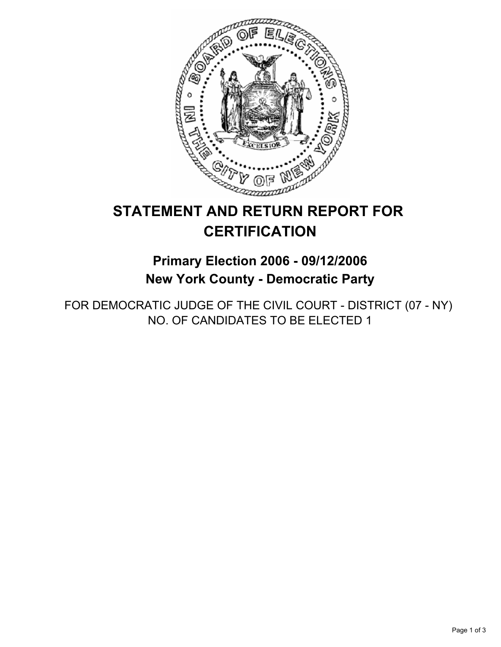

# **STATEMENT AND RETURN REPORT FOR CERTIFICATION**

**Primary Election 2006 - 09/12/2006 New York County - Democratic Party**

FOR DEMOCRATIC JUDGE OF THE CIVIL COURT - DISTRICT (07 - NY) NO. OF CANDIDATES TO BE ELECTED 1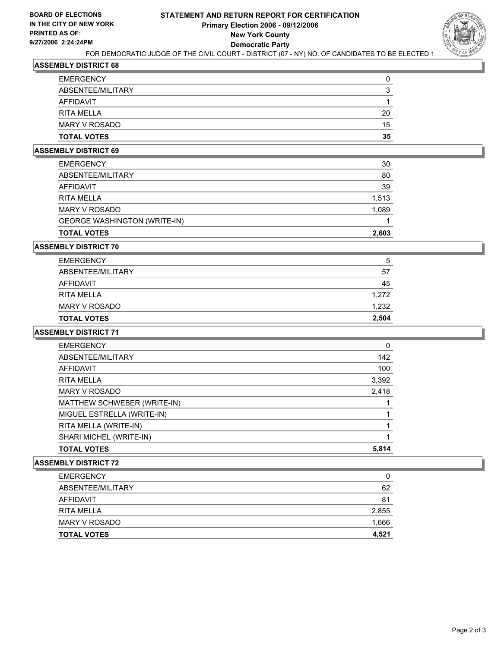

### **ASSEMBLY DISTRICT 68**

| <b>EMERGENCY</b>   |    |
|--------------------|----|
| ABSENTEE/MILITARY  |    |
| <b>AFFIDAVIT</b>   |    |
| <b>RITA MELLA</b>  | 20 |
| MARY V ROSADO      | 15 |
| <b>TOTAL VOTES</b> | 35 |

#### **ASSEMBLY DISTRICT 69**

| <b>TOTAL VOTES</b>                  | 2,603 |
|-------------------------------------|-------|
| <b>GEORGE WASHINGTON (WRITE-IN)</b> |       |
| <b>MARY V ROSADO</b>                | 1,089 |
| <b>RITA MELLA</b>                   | 1,513 |
| <b>AFFIDAVIT</b>                    | 39    |
| ABSENTEE/MILITARY                   | 80    |
| <b>EMERGENCY</b>                    | 30    |

#### **ASSEMBLY DISTRICT 70**

| <b>EMERGENCY</b>   | 5     |
|--------------------|-------|
| ABSENTEE/MILITARY  | 57    |
| AFFIDAVIT          | 45    |
| <b>RITA MELLA</b>  | 1,272 |
| MARY V ROSADO      | 1,232 |
| <b>TOTAL VOTES</b> | 2,504 |

#### **ASSEMBLY DISTRICT 71**

| <b>EMERGENCY</b>            | 0     |
|-----------------------------|-------|
| ABSENTEE/MILITARY           | 142   |
| AFFIDAVIT                   | 100   |
| <b>RITA MELLA</b>           | 3,392 |
| <b>MARY V ROSADO</b>        | 2,418 |
| MATTHEW SCHWEBER (WRITE-IN) |       |
| MIGUEL ESTRELLA (WRITE-IN)  |       |
| RITA MELLA (WRITE-IN)       |       |
| SHARI MICHEL (WRITE-IN)     |       |
| <b>TOTAL VOTES</b>          | 5,814 |

#### **ASSEMBLY DISTRICT 72**

| <b>EMERGENCY</b>   | 0     |
|--------------------|-------|
| ABSENTEE/MILITARY  | 62    |
| AFFIDAVIT          | 81    |
| <b>RITA MELLA</b>  | 2,855 |
| MARY V ROSADO      | 1,666 |
| <b>TOTAL VOTES</b> | 4,521 |